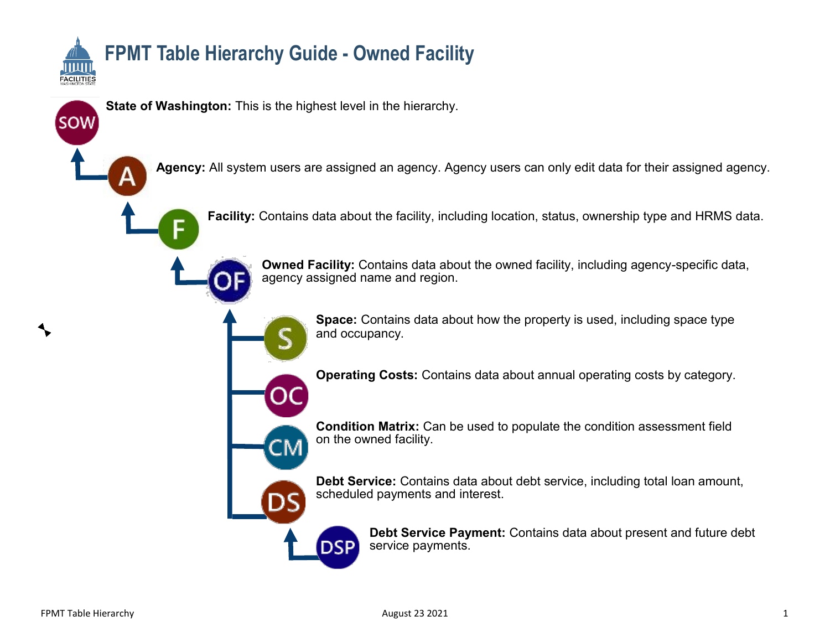

**State of Washington:** This is the highest level in the hierarchy.

ΞN

**DSP** 

**Agency:** All system users are assigned an agency. Agency users can only edit data for their assigned agency.

⊑

**SOW** 

**Facility:** Contains data about the facility, including location, status, ownership type and HRMS data.

**Owned Facility:** Contains data about the owned facility, including agency-specific data, agency assigned name and region.

> **Space:** Contains data about how the property is used, including space type and occupancy.

> **Operating Costs:** Contains data about annual operating costs by category.

**Condition Matrix:** Can be used to populate the condition assessment field on the owned facility.

**Debt Service:** Contains data about debt service, including total loan amount, scheduled payments and interest.

> **Debt Service Payment:** Contains data about present and future debt service payments.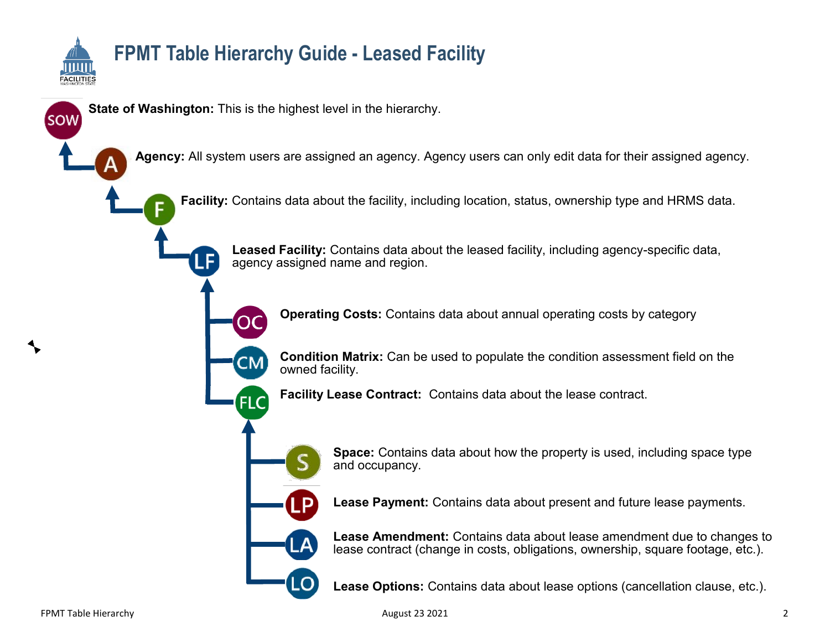

### **FPMT Table Hierarchy Guide - Leased Facility**

**State of Washington:** This is the highest level in the hierarchy.

l F

OΟ

**CM** 

**FLC** 

**Agency:** All system users are assigned an agency. Agency users can only edit data for their assigned agency.

**Facility:** Contains data about the facility, including location, status, ownership type and HRMS data.

**Leased Facility:** Contains data about the leased facility, including agency-specific data, agency assigned name and region.

**Operating Costs:** Contains data about annual operating costs by category

**Condition Matrix:** Can be used to populate the condition assessment field on the owned facility.

**Facility Lease Contract:** Contains data about the lease contract.



LO

**Space:** Contains data about how the property is used, including space type and occupancy.

**Lease Payment:** Contains data about present and future lease payments.

**Lease Amendment:** Contains data about lease amendment due to changes to lease contract (change in costs, obligations, ownership, square footage, etc.).

**Lease Options:** Contains data about lease options (cancellation clause, etc.).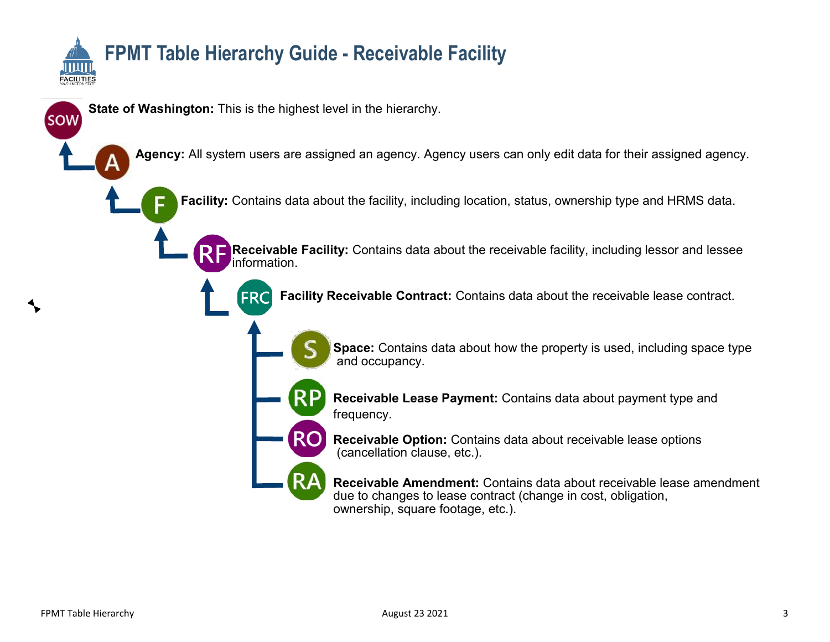

# **FPMT Table Hierarchy Guide - Receivable Facility**

**State of Washington:** This is the highest level in the hierarchy.

**Agency:** All system users are assigned an agency. Agency users can only edit data for their assigned agency.

**Facility:** Contains data about the facility, including location, status, ownership type and HRMS data.

**Receivable Facility:** Contains data about the receivable facility, including lessor and lessee information.

**Facility Receivable Contract:** Contains data about the receivable lease contract.



**Space:** Contains data about how the property is used, including space type and occupancy.

**Receivable Lease Payment:** Contains data about payment type and frequency.

**Receivable Option:** Contains data about receivable lease options (cancellation clause, etc.).

**Receivable Amendment:** Contains data about receivable lease amendment due to changes to lease contract (change in cost, obligation, ownership, square footage, etc.).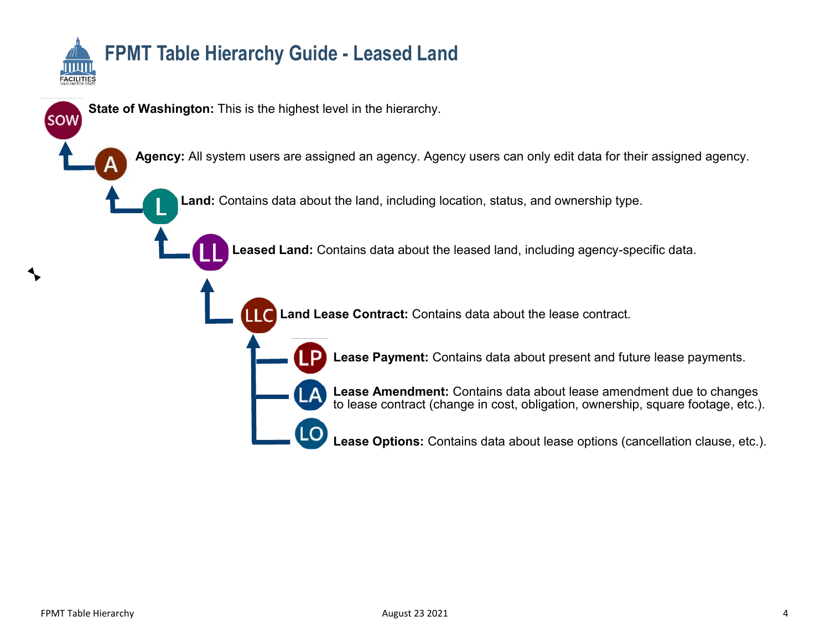

sow]

# **FPMT Table Hierarchy Guide - Leased Land**

**State of Washington:** This is the highest level in the hierarchy.

**Agency:** All system users are assigned an agency. Agency users can only edit data for their assigned agency.

**Land:** Contains data about the land, including location, status, and ownership type.

**Leased Land:** Contains data about the leased land, including agency-specific data.

**Land Lease Contract:** Contains data about the lease contract. LLC



**Lease Amendment:** Contains data about lease amendment due to changes to lease contract (change in cost, obligation, ownership, square footage, etc.).

**Lease Options:** Contains data about lease options (cancellation clause, etc.).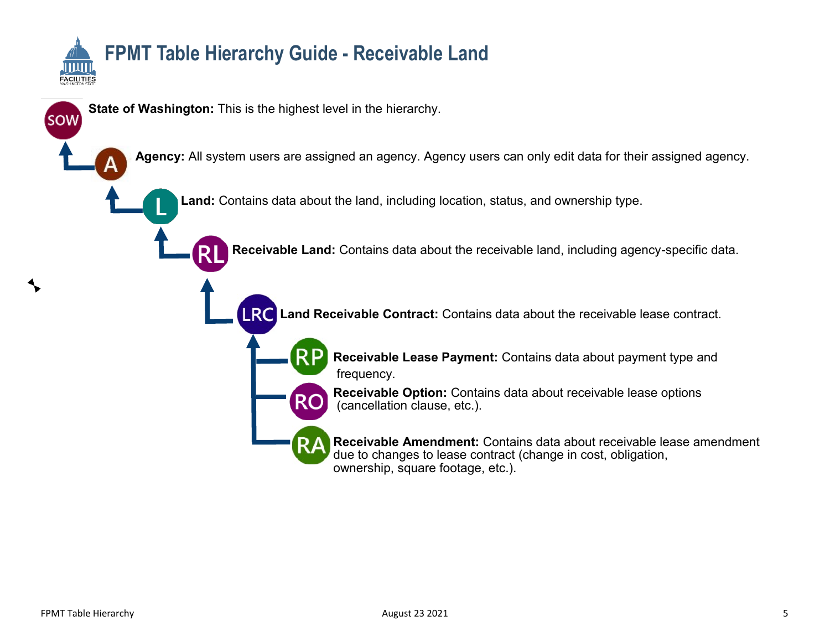

## **FPMT Table Hierarchy Guide - Receivable Land**

**State of Washington:** This is the highest level in the hierarchy.

**Agency:** All system users are assigned an agency. Agency users can only edit data for their assigned agency.

**Land:** Contains data about the land, including location, status, and ownership type.

**Receivable Land:** Contains data about the receivable land, including agency-specific data.

**LRC** Land Receivable Contract: Contains data about the receivable lease contract.



**Receivable Lease Payment:** Contains data about payment type and frequency.

**Receivable Option:** Contains data about receivable lease options (cancellation clause, etc.).

**Receivable Amendment:** Contains data about receivable lease amendment due to changes to lease contract (change in cost, obligation, ownership, square footage, etc.).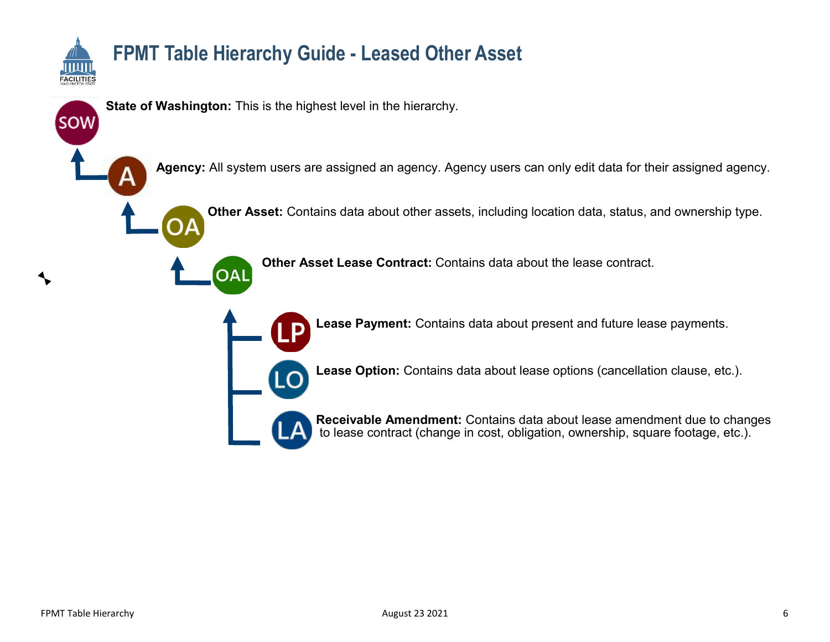

# **FPMT Table Hierarchy Guide - Leased Other Asset**

**State of Washington:** This is the highest level in the hierarchy.

**Agency:** All system users are assigned an agency. Agency users can only edit data for their assigned agency.

**Other Asset:** Contains data about other assets, including location data, status, and ownership type.



**Other Asset Lease Contract:** Contains data about the lease contract.



**Lease Payment:** Contains data about present and future lease payments.

**Lease Option:** Contains data about lease options (cancellation clause, etc.).



**Receivable Amendment:** Contains data about lease amendment due to changes to lease contract (change in cost, obligation, ownership, square footage, etc.).